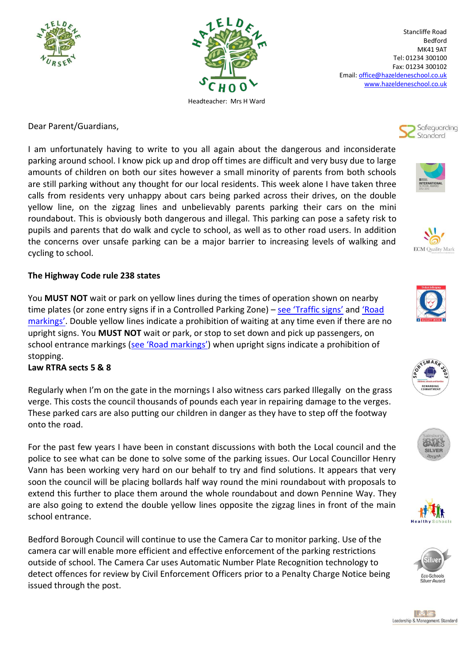



Headteacher: Mrs H Ward

Stancliffe Road Bedford MK41 9AT Tel: 01234 300100 Fax: 01234 300102 Email: office@hazeldeneschool.co.uk www.hazeldeneschool.co.uk

Dear Parent/Guardians,

I am unfortunately having to write to you all again about the dangerous and inconsiderate parking around school. I know pick up and drop off times are difficult and very busy due to large amounts of children on both our sites however a small minority of parents from both schools are still parking without any thought for our local residents. This week alone I have taken three calls from residents very unhappy about cars being parked across their drives, on the double yellow line, on the zigzag lines and unbelievably parents parking their cars on the mini roundabout. This is obviously both dangerous and illegal. This parking can pose a safety risk to pupils and parents that do walk and cycle to school, as well as to other road users. In addition the concerns over unsafe parking can be a major barrier to increasing levels of walking and cycling to school.

## **The Highway Code rule 238 states**

You **MUST NOT** wait or park on yellow lines during the times of operation shown on nearby time plates (or zone entry signs if in a Controlled Parking Zone) – [see 'Traffic signs'](https://www.gov.uk/government/publications/the-highway-code-traffic-signs) and 'Road [markings'](https://www.gov.uk/government/publications/the-highway-code-road-markings). Double yellow lines indicate a prohibition of waiting at any time even if there are no upright signs. You **MUST NOT** wait or park, or stop to set down and pick up passengers, on school entrance markings ([see 'Road markings'](https://www.gov.uk/government/publications/the-highway-code-road-markings)) when upright signs indicate a prohibition of stopping.

## **Law RTRA sects 5 & 8**

Regularly when I'm on the gate in the mornings I also witness cars parked Illegally on the grass verge. This costs the council thousands of pounds each year in repairing damage to the verges. These parked cars are also putting our children in danger as they have to step off the footway onto the road.

For the past few years I have been in constant discussions with both the Local council and the police to see what can be done to solve some of the parking issues. Our Local Councillor Henry Vann has been working very hard on our behalf to try and find solutions. It appears that very soon the council will be placing bollards half way round the mini roundabout with proposals to extend this further to place them around the whole roundabout and down Pennine Way. They are also going to extend the double yellow lines opposite the zigzag lines in front of the main school entrance.

Bedford Borough Council will continue to use the Camera Car to monitor parking. Use of the camera car will enable more efficient and effective enforcement of the parking restrictions outside of school. The Camera Car uses Automatic Number Plate Recognition technology to detect offences for review by Civil Enforcement Officers prior to a Penalty Charge Notice being issued through the post.



**ECM** Quality Mar

Safeguarding Standard